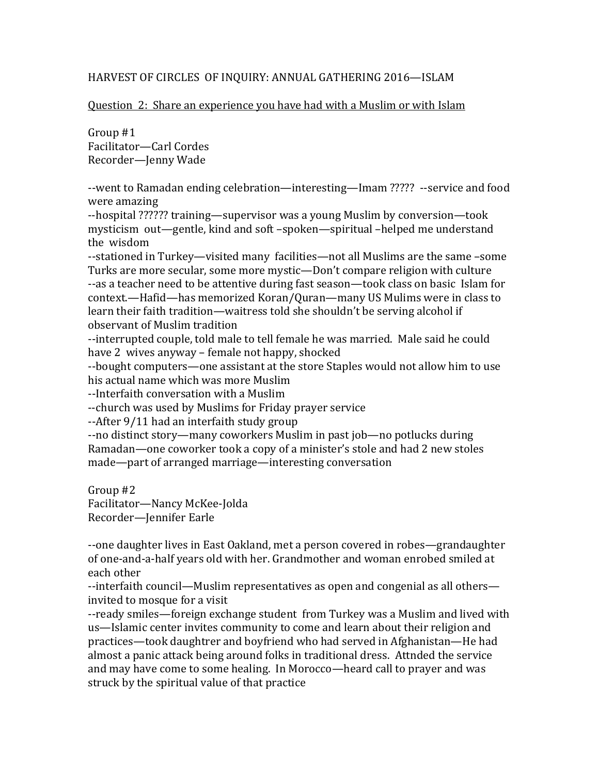#### HARVEST OF CIRCLES OF INQUIRY: ANNUAL GATHERING 2016-ISLAM

#### Question 2: Share an experience you have had with a Muslim or with Islam

Group  $#1$ Facilitator-Carl Cordes Recorder-Jenny Wade

--went to Ramadan ending celebration—interesting—Imam ????? --service and food were amazing

--hospital ?????? training—supervisor was a young Muslim by conversion—took mysticism out—gentle, kind and soft -spoken—spiritual -helped me understand the wisdom

--stationed in Turkey—visited many facilities—not all Muslims are the same -some Turks are more secular, some more mystic—Don't compare religion with culture --as a teacher need to be attentive during fast season—took class on basic Islam for context.—Hafid—has memorized Koran/Ouran—many US Mulims were in class to learn their faith tradition—waitress told she shouldn't be serving alcohol if observant of Muslim tradition

--interrupted couple, told male to tell female he was married. Male said he could have 2 wives anyway – female not happy, shocked

--bought computers—one assistant at the store Staples would not allow him to use his actual name which was more Muslim

‐‐Interfaith conversation with a Muslim 

--church was used by Muslims for Friday prayer service

--After 9/11 had an interfaith study group

--no distinct story—many coworkers Muslim in past job—no potlucks during Ramadan—one coworker took a copy of a minister's stole and had 2 new stoles made—part of arranged marriage—interesting conversation

Group  $#2$ Facilitator—Nancy McKee-Jolda Recorder-Jennifer Earle

--one daughter lives in East Oakland, met a person covered in robes—grandaughter of one-and-a-half years old with her. Grandmother and woman enrobed smiled at each other 

--interfaith council—Muslim representatives as open and congenial as all others invited to mosque for a visit

--ready smiles—foreign exchange student from Turkey was a Muslim and lived with us—Islamic center invites community to come and learn about their religion and practices—took daughtrer and boyfriend who had served in Afghanistan—He had almost a panic attack being around folks in traditional dress. Attnded the service and may have come to some healing. In Morocco—heard call to prayer and was struck by the spiritual value of that practice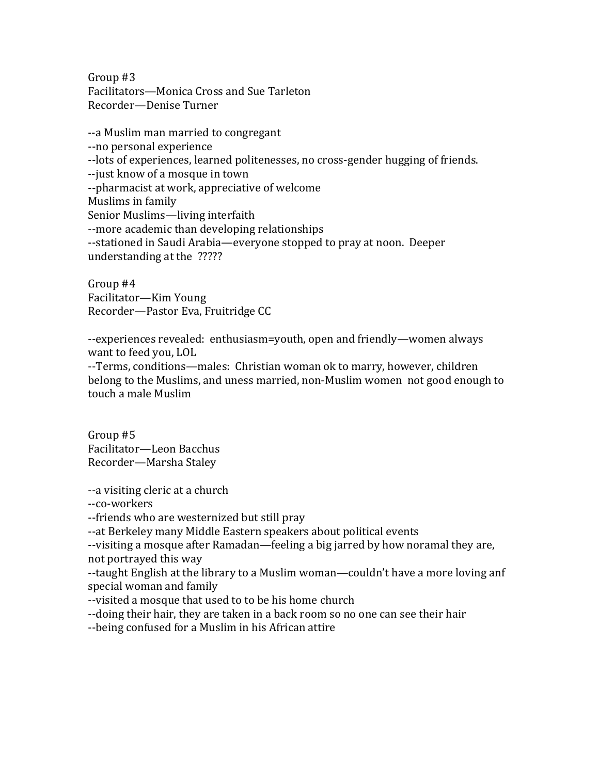Group  $#3$ Facilitators-Monica Cross and Sue Tarleton Recorder—Denise Turner 

--a Muslim man married to congregant ‐‐no personal experience --lots of experiences, learned politenesses, no cross-gender hugging of friends. --just know of a mosque in town --pharmacist at work, appreciative of welcome Muslims in family Senior Muslims—living interfaith --more academic than developing relationships --stationed in Saudi Arabia—everyone stopped to pray at noon. Deeper understanding at the ?????

Group #4 Facilitator—Kim Young Recorder—Pastor Eva, Fruitridge CC

--experiences revealed: enthusiasm=youth, open and friendly—women always want to feed you, LOL

--Terms, conditions—males: Christian woman ok to marry, however, children belong to the Muslims, and uness married, non-Muslim women not good enough to touch a male Muslim

Group #5 Facilitator—Leon Bacchus Recorder-Marsha Staley

--a visiting cleric at a church

‐‐co‐workers 

--friends who are westernized but still pray

--at Berkeley many Middle Eastern speakers about political events

-visiting a mosque after Ramadan—feeling a big jarred by how noramal they are, not portrayed this way

-taught English at the library to a Muslim woman—couldn't have a more loving anf special woman and family

--visited a mosque that used to to be his home church

--doing their hair, they are taken in a back room so no one can see their hair

--being confused for a Muslim in his African attire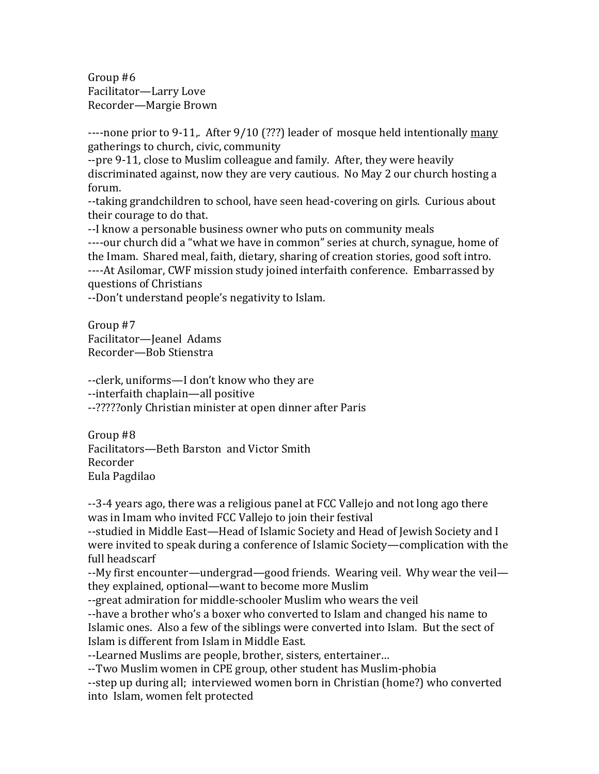Group  $#6$ Facilitator-Larry Love Recorder—Margie Brown

---none prior to 9-11,. After 9/10 (???) leader of mosque held intentionally many gatherings to church, civic, community

--pre 9-11, close to Muslim colleague and family. After, they were heavily discriminated against, now they are very cautious. No May 2 our church hosting a forum. 

--taking grandchildren to school, have seen head-covering on girls. Curious about their courage to do that.

--I know a personable business owner who puts on community meals ----our church did a "what we have in common" series at church, synague, home of the Imam. Shared meal, faith, dietary, sharing of creation stories, good soft intro. ----At Asilomar, CWF mission study joined interfaith conference. Embarrassed by questions of Christians 

--Don't understand people's negativity to Islam.

Group #7 Facilitator-Jeanel Adams Recorder—Bob Stienstra 

--clerk, uniforms—I don't know who they are --interfaith chaplain—all positive --?????only Christian minister at open dinner after Paris

Group #8 Facilitators—Beth Barston and Victor Smith Recorder Eula Pagdilao 

--3-4 years ago, there was a religious panel at FCC Vallejo and not long ago there was in Imam who invited FCC Vallejo to join their festival

--studied in Middle East—Head of Islamic Society and Head of Jewish Society and I were invited to speak during a conference of Islamic Society—complication with the full headscarf

--My first encounter—undergrad—good friends. Wearing veil. Why wear the veil they explained, optional—want to become more Muslim

--great admiration for middle-schooler Muslim who wears the veil

--have a brother who's a boxer who converted to Islam and changed his name to Islamic ones. Also a few of the siblings were converted into Islam. But the sect of Islam is different from Islam in Middle East.

--Learned Muslims are people, brother, sisters, entertainer...

--Two Muslim women in CPE group, other student has Muslim-phobia

--step up during all; interviewed women born in Christian (home?) who converted into Islam, women felt protected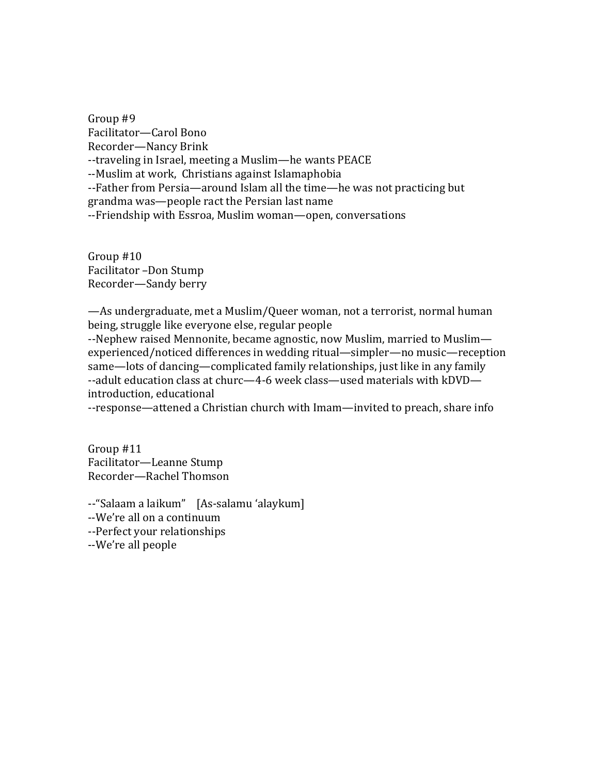Group #9 Facilitator—Carol Bono Recorder—Nancy Brink --traveling in Israel, meeting a Muslim—he wants PEACE --Muslim at work, Christians against Islamaphobia --Father from Persia—around Islam all the time—he was not practicing but grandma was—people ract the Persian last name --Friendship with Essroa, Muslim woman—open, conversations

Group  $#10$ Facilitator -Don Stump Recorder—Sandy berry

—As undergraduate, met a Muslim/Queer woman, not a terrorist, normal human being, struggle like everyone else, regular people

--Nephew raised Mennonite, became agnostic, now Muslim, married to Muslimexperienced/noticed differences in wedding ritual—simpler—no music—reception same—lots of dancing—complicated family relationships, just like in any family --adult education class at churc—4-6 week class—used materials with kDVD introduction, educational

--response—attened a Christian church with Imam—invited to preach, share info

Group  $#11$ Facilitator—Leanne Stump Recorder—Rachel Thomson 

--"Salaam a laikum" [As-salamu 'alaykum]

--We're all on a continuum

--Perfect your relationships

--We're all people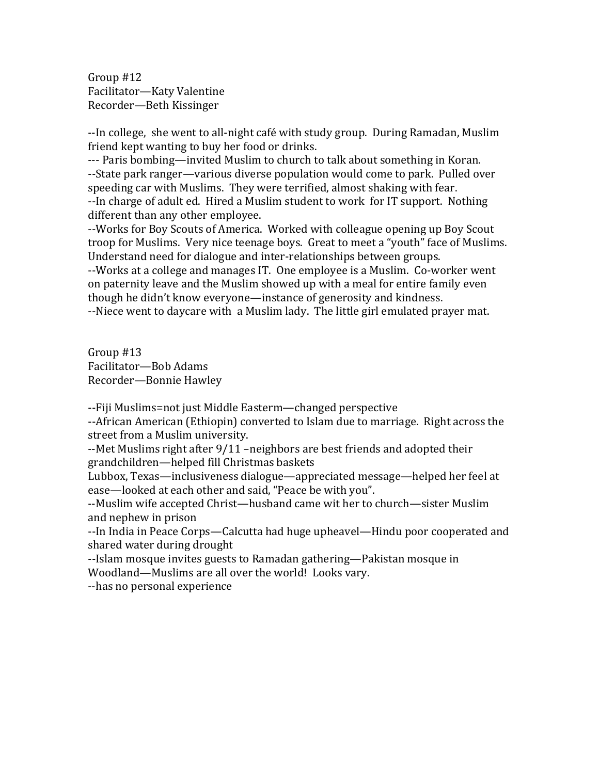Group  $#12$ Facilitator-Katy Valentine Recorder—Beth Kissinger

--In college, she went to all-night café with study group. During Ramadan, Muslim friend kept wanting to buy her food or drinks.

--- Paris bombing—invited Muslim to church to talk about something in Koran. --State park ranger—various diverse population would come to park. Pulled over speeding car with Muslims. They were terrified, almost shaking with fear. --In charge of adult ed. Hired a Muslim student to work for IT support. Nothing different than any other employee.

--Works for Boy Scouts of America. Worked with colleague opening up Boy Scout troop for Muslims. Very nice teenage boys. Great to meet a "youth" face of Muslims. Understand need for dialogue and inter-relationships between groups.

--Works at a college and manages IT. One employee is a Muslim. Co-worker went on paternity leave and the Muslim showed up with a meal for entire family even though he didn't know everyone—instance of generosity and kindness.

--Niece went to daycare with a Muslim lady. The little girl emulated prayer mat.

Group  $#13$ Facilitator—Bob Adams Recorder-Bonnie Hawley

--Fiji Muslims=not just Middle Easterm—changed perspective

--African American (Ethiopin) converted to Islam due to marriage. Right across the street from a Muslim university.

--Met Muslims right after  $9/11$  –neighbors are best friends and adopted their grandchildren—helped fill Christmas baskets

Lubbox, Texas—inclusiveness dialogue—appreciated message—helped her feel at ease—looked at each other and said, "Peace be with you".

--Muslim wife accepted Christ—husband came wit her to church—sister Muslim and nephew in prison

--In India in Peace Corps—Calcutta had huge upheavel—Hindu poor cooperated and shared water during drought

--Islam mosque invites guests to Ramadan gathering—Pakistan mosque in Woodland—Muslims are all over the world! Looks vary.

--has no personal experience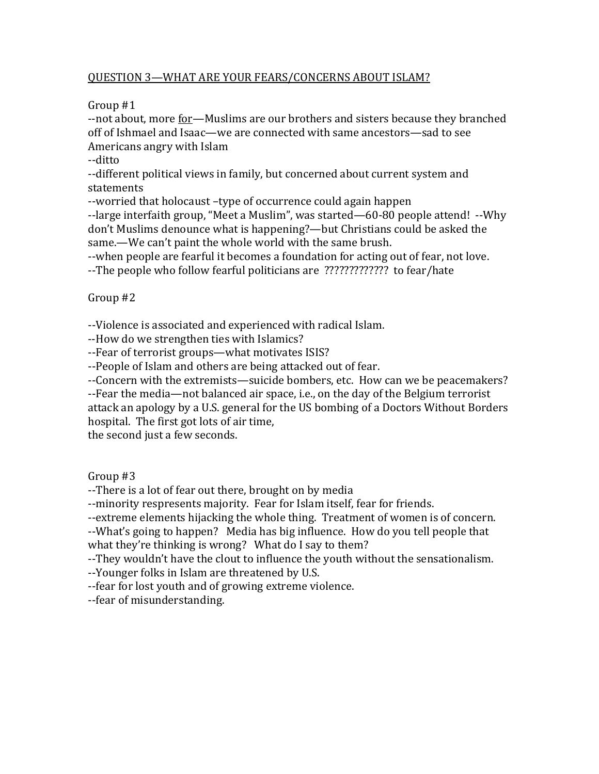## QUESTION 3-WHAT ARE YOUR FEARS/CONCERNS ABOUT ISLAM?

Group  $#1$ 

--not about, more for—Muslims are our brothers and sisters because they branched off of Ishmael and Isaac—we are connected with same ancestors—sad to see Americans angry with Islam

‐‐ditto 

--different political views in family, but concerned about current system and statements 

--worried that holocaust -type of occurrence could again happen

--large interfaith group, "Meet a Muslim", was started—60-80 people attend! --Why don't Muslims denounce what is happening?—but Christians could be asked the same.—We can't paint the whole world with the same brush.

--when people are fearful it becomes a foundation for acting out of fear, not love. --The people who follow fearful politicians are ?????????????? to fear/hate

# Group #2

--Violence is associated and experienced with radical Islam.

--How do we strengthen ties with Islamics?

--Fear of terrorist groups—what motivates ISIS?

--People of Islam and others are being attacked out of fear.

--Concern with the extremists—suicide bombers, etc. How can we be peacemakers? --Fear the media—not balanced air space, i.e., on the day of the Belgium terrorist attack an apology by a U.S. general for the US bombing of a Doctors Without Borders

hospital. The first got lots of air time,

the second just a few seconds.

# Group  $#3$

--There is a lot of fear out there, brought on by media

--minority respresents majority. Fear for Islam itself, fear for friends.

--extreme elements hijacking the whole thing. Treatment of women is of concern.

--What's going to happen? Media has big influence. How do you tell people that what they're thinking is wrong? What do I say to them?

--They wouldn't have the clout to influence the youth without the sensationalism.

--Younger folks in Islam are threatened by U.S.

-fear for lost youth and of growing extreme violence.

--fear of misunderstanding.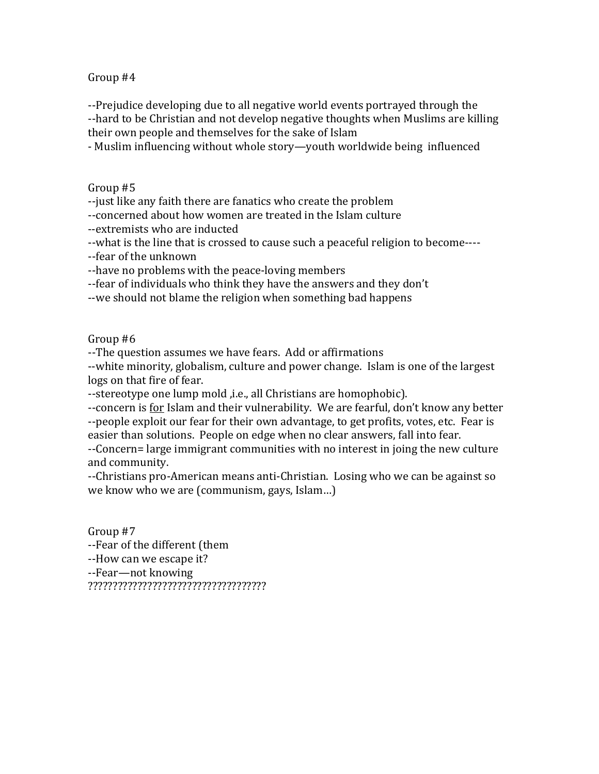--Prejudice developing due to all negative world events portrayed through the --hard to be Christian and not develop negative thoughts when Muslims are killing their own people and themselves for the sake of Islam

- Muslim influencing without whole story—youth worldwide being influenced

Group #5

--just like any faith there are fanatics who create the problem

--concerned about how women are treated in the Islam culture

--extremists who are inducted

--what is the line that is crossed to cause such a peaceful religion to become----

--fear of the unknown

--have no problems with the peace-loving members

--fear of individuals who think they have the answers and they don't

--we should not blame the religion when something bad happens

#### Group #6

--The question assumes we have fears. Add or affirmations

--white minority, globalism, culture and power change. Islam is one of the largest logs on that fire of fear.

--stereotype one lump mold , i.e., all Christians are homophobic).

--concern is for Islam and their vulnerability. We are fearful, don't know any better --people exploit our fear for their own advantage, to get profits, votes, etc. Fear is easier than solutions. People on edge when no clear answers, fall into fear.

--Concern= large immigrant communities with no interest in joing the new culture and community.

--Christians pro-American means anti-Christian. Losing who we can be against so we know who we are (communism, gays, Islam...)

Group #7 --Fear of the different (them --How can we escape it? --Fear-not knowing ????????????????????????????????????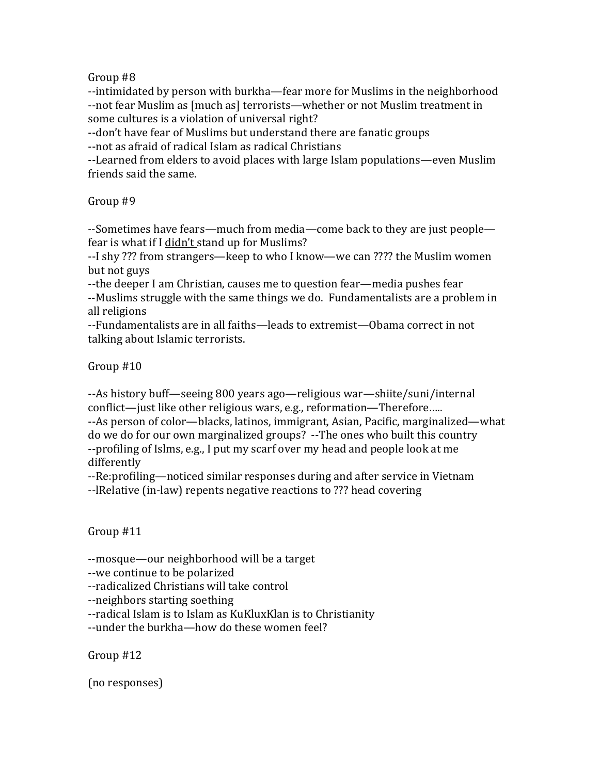--intimidated by person with burkha—fear more for Muslims in the neighborhood --not fear Muslim as [much as] terrorists—whether or not Muslim treatment in some cultures is a violation of universal right?

--don't have fear of Muslims but understand there are fanatic groups

--not as afraid of radical Islam as radical Christians

--Learned from elders to avoid places with large Islam populations—even Muslim friends said the same.

# Group #9

--Sometimes have fears—much from media—come back to they are just people fear is what if I didn't stand up for Muslims?

--I shy ??? from strangers—keep to who I know—we can ???? the Muslim women but not guys

--the deeper I am Christian, causes me to question fear—media pushes fear --Muslims struggle with the same things we do. Fundamentalists are a problem in all religions

--Fundamentalists are in all faiths-leads to extremist-Obama correct in not talking about Islamic terrorists.

Group  $#10$ 

--As history buff—seeing 800 years ago—religious war—shiite/suni/internal conflict—just like other religious wars, e.g., reformation—Therefore..... --As person of color—blacks, latinos, immigrant, Asian, Pacific, marginalized—what do we do for our own marginalized groups? --The ones who built this country --profiling of Islms, e.g., I put my scarf over my head and people look at me differently 

--Re:profiling—noticed similar responses during and after service in Vietnam

--IRelative (in-law) repents negative reactions to ??? head covering

# Group #11

--mosque—our neighborhood will be a target

--we continue to be polarized

--radicalized Christians will take control

‐‐neighbors starting soething 

--radical Islam is to Islam as KuKluxKlan is to Christianity

--under the burkha—how do these women feel?

Group  $#12$ 

(no responses)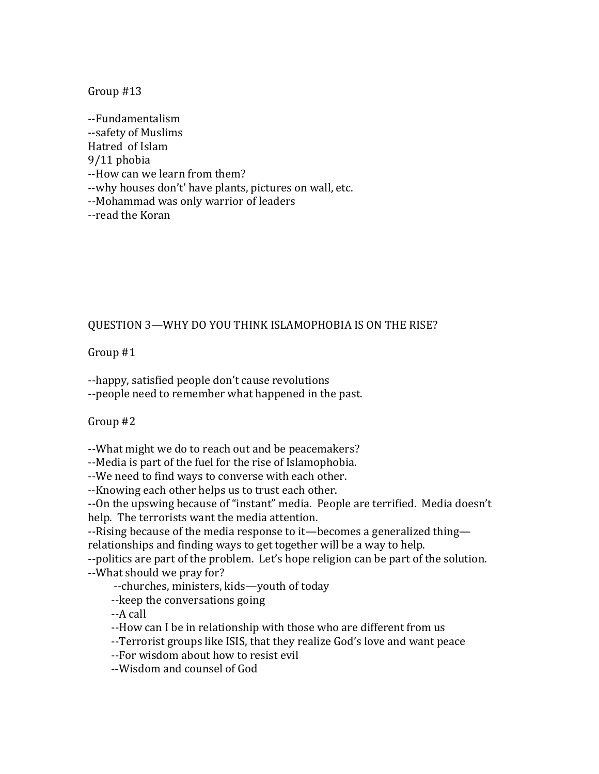‐‐Fundamentalism ‐‐safety of Muslims Hatred of Islam 9/11 phobia --How can we learn from them? --why houses don't' have plants, pictures on wall, etc. --Mohammad was only warrior of leaders ‐‐read the Koran 

# QUESTION 3-WHY DO YOU THINK ISLAMOPHOBIA IS ON THE RISE?

Group  $#1$ 

--happy, satisfied people don't cause revolutions --people need to remember what happened in the past.

Group #2

--What might we do to reach out and be peacemakers?

--Media is part of the fuel for the rise of Islamophobia.

--We need to find ways to converse with each other.

--Knowing each other helps us to trust each other.

--On the upswing because of "instant" media. People are terrified. Media doesn't help. The terrorists want the media attention.

--Rising because of the media response to it—becomes a generalized thing relationships and finding ways to get together will be a way to help.

--politics are part of the problem. Let's hope religion can be part of the solution. --What should we pray for?

--churches, ministers, kids—youth of today

-- keep the conversations going

 ‐‐A call 

- --How can I be in relationship with those who are different from us
- --Terrorist groups like ISIS, that they realize God's love and want peace
- --For wisdom about how to resist evil
- ‐‐Wisdom and counsel of God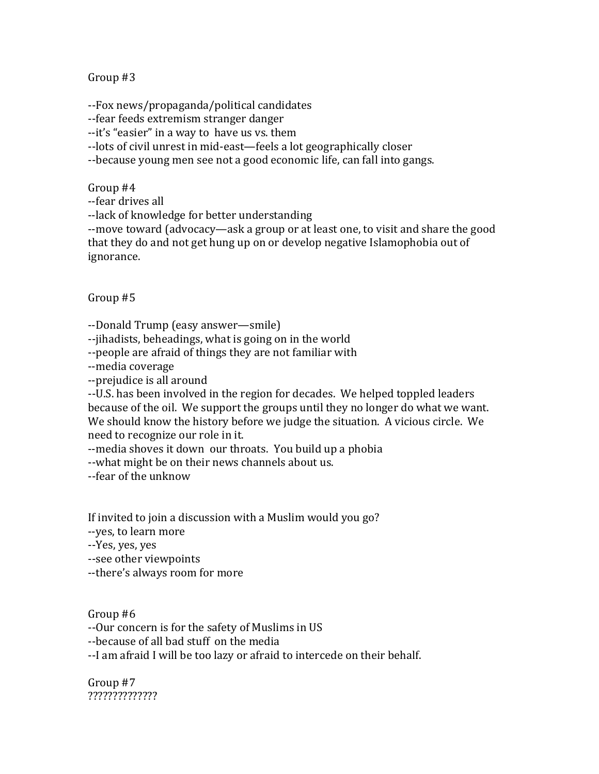--Fox news/propaganda/political candidates

--fear feeds extremism stranger danger

--it's "easier" in a way to have us vs. them

--lots of civil unrest in mid-east—feels a lot geographically closer

--because young men see not a good economic life, can fall into gangs.

Group #4

‐‐fear drives all 

-lack of knowledge for better understanding

--move toward (advocacy—ask a group or at least one, to visit and share the good that they do and not get hung up on or develop negative Islamophobia out of ignorance. 

Group #5

--Donald Trump (easy answer—smile)

--jihadists, beheadings, what is going on in the world

--people are afraid of things they are not familiar with

‐‐media coverage 

--prejudice is all around

--U.S. has been involved in the region for decades. We helped toppled leaders because of the oil. We support the groups until they no longer do what we want. We should know the history before we judge the situation. A vicious circle. We need to recognize our role in it.

--media shoves it down our throats. You build up a phobia

--what might be on their news channels about us.

‐‐fear of the unknow 

If invited to join a discussion with a Muslim would you go?

‐‐yes, to learn more 

‐‐Yes, yes, yes 

--see other viewpoints

--there's always room for more

Group #6

--Our concern is for the safety of Muslims in US

--because of all bad stuff on the media

--I am afraid I will be too lazy or afraid to intercede on their behalf.

Group #7 ??????????????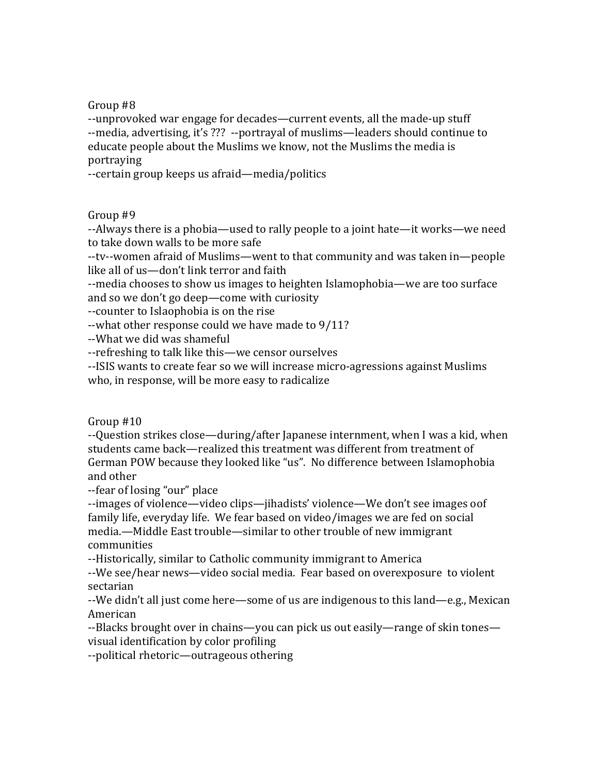--unprovoked war engage for decades—current events, all the made-up stuff --media, advertising, it's ??? --portrayal of muslims—leaders should continue to educate people about the Muslims we know, not the Muslims the media is portraying 

--certain group keeps us afraid—media/politics

## Group #9

--Always there is a phobia—used to rally people to a joint hate—it works—we need to take down walls to be more safe

--tv--women afraid of Muslims—went to that community and was taken in—people like all of us—don't link terror and faith

--media chooses to show us images to heighten Islamophobia—we are too surface and so we don't go deep—come with curiosity

--counter to Islaophobia is on the rise

 $-$ what other response could we have made to  $9/11$ ?

-- What we did was shameful

--refreshing to talk like this—we censor ourselves

--ISIS wants to create fear so we will increase micro-agressions against Muslims who, in response, will be more easy to radicalize

Group  $#10$ 

--Question strikes close—during/after Japanese internment, when I was a kid, when students came back—realized this treatment was different from treatment of German POW because they looked like "us". No difference between Islamophobia and other 

‐‐fear of losing "our" place 

--images of violence—video clips—jihadists' violence—We don't see images oof family life, everyday life. We fear based on video/images we are fed on social media.—Middle East trouble—similar to other trouble of new immigrant communities 

--Historically, similar to Catholic community immigrant to America

--We see/hear news—video social media. Fear based on overexposure to violent sectarian 

--We didn't all just come here—some of us are indigenous to this land—e.g., Mexican American 

--Blacks brought over in chains—you can pick us out easily—range of skin tones visual identification by color profiling

--political rhetoric—outrageous othering